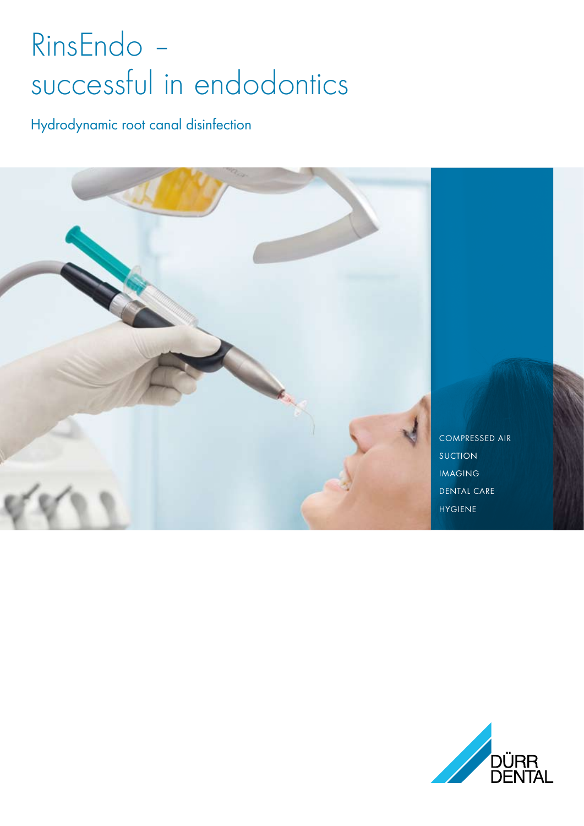## RinsEndo successful in endodontics

Hydrodynamic root canal disinfection



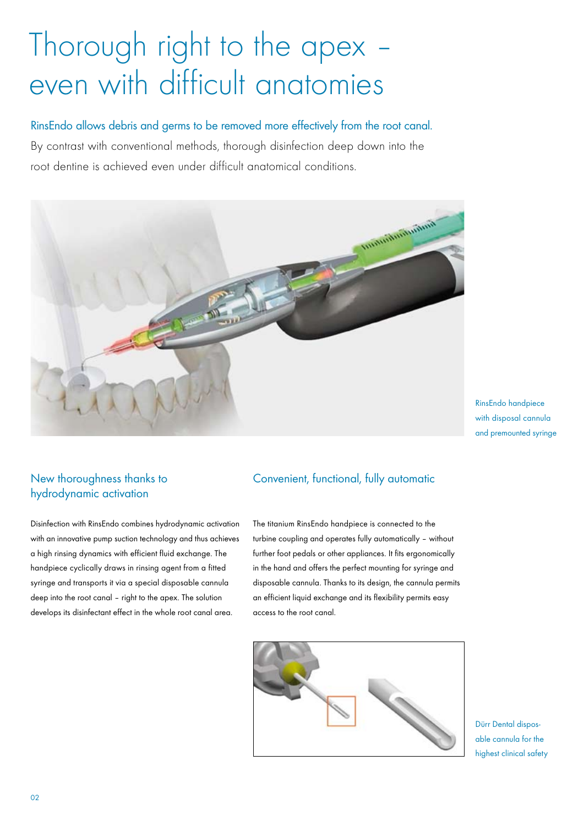## Thorough right to the apex – even with difficult anatomies

RinsEndo allows debris and germs to be removed more effectively from the root canal.

By contrast with conventional methods, thorough disinfection deep down into the root dentine is achieved even under difficult anatomical conditions.



RinsEndo handpiece with disposal cannula and premounted syringe

#### New thoroughness thanks to hydrodynamic activation

Disinfection with RinsEndo combines hydrodynamic activation with an innovative pump suction technology and thus achieves a high rinsing dynamics with efficient fluid exchange. The handpiece cyclically draws in rinsing agent from a fitted syringe and transports it via a special disposable cannula deep into the root canal – right to the apex. The solution develops its disinfectant effect in the whole root canal area.

#### Convenient, functional, fully automatic

The titanium RinsEndo handpiece is connected to the turbine coupling and operates fully automatically – without further foot pedals or other appliances. It fits ergonomically in the hand and offers the perfect mounting for syringe and disposable cannula. Thanks to its design, the cannula permits an efficient liquid exchange and its flexibility permits easy access to the root canal.



Dürr Dental disposable cannula for the highest clinical safety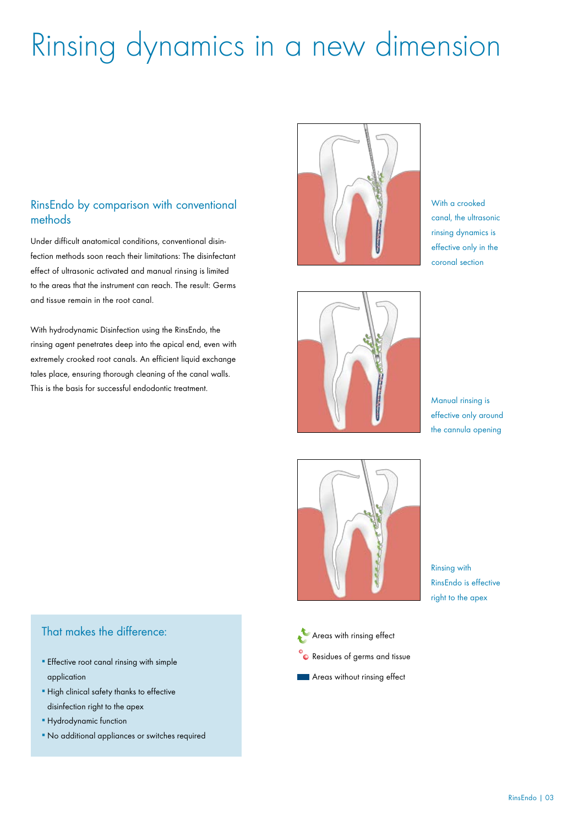## Rinsing dynamics in a new dimension

#### RinsEndo by comparison with conventional methods

Under difficult anatomical conditions, conventional disinfection methods soon reach their limitations: The disinfectant effect of ultrasonic activated and manual rinsing is limited to the areas that the instrument can reach. The result: Germs and tissue remain in the root canal.

With hydrodynamic Disinfection using the RinsEndo, the rinsing agent penetrates deep into the apical end, even with extremely crooked root canals. An efficient liquid exchange tales place, ensuring thorough cleaning of the canal walls. This is the basis for successful endodontic treatment.



With a crooked canal, the ultrasonic rinsing dynamics is effective only in the coronal section



Manual rinsing is effective only around the cannula opening



Rinsing with RinsEndo is effective right to the apex

- That makes the difference:
- **Effective root canal rinsing with simple** application
- **.** High clinical safety thanks to effective disinfection right to the apex
- **· Hydrodynamic function**
- No additional appliances or switches required
- **Areas with rinsing effect**
- **C** Residues of germs and tissue
- **Areas without rinsing effect**